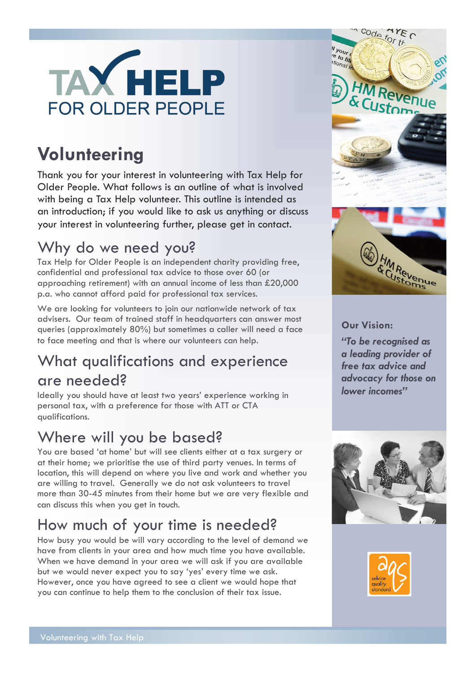

# **Volunteering**

Thank you for your interest in volunteering with Tax Help for Older People. What follows is an outline of what is involved with being a Tax Help volunteer. This outline is intended as an introduction; if you would like to ask us anything or discuss your interest in volunteering further, please get in contact.

### Why do we need you?

Tax Help for Older People is an independent charity providing free, confidential and professional tax advice to those over 60 (or approaching retirement) with an annual income of less than £20,000 p.a. who cannot afford paid for professional tax services.

We are looking for volunteers to join our nationwide network of tax advisers. Our team of trained staff in headquarters can answer most queries (approximately 80%) but sometimes a caller will need a face to face meeting and that is where our volunteers can help.

## What qualifications and experience are needed?

Ideally you should have at least two years' experience working in personal tax, with a preference for those with ATT or CTA qualifications.

## Where will you be based?

You are based 'at home' but will see clients either at a tax surgery or at their home; we prioritise the use of third party venues. In terms of location, this will depend on where you live and work and whether you are willing to travel. Generally we do not ask volunteers to travel more than 30-45 minutes from their home but we are very flexible and can discuss this when you get in touch.

## How much of your time is needed?

How busy you would be will vary according to the level of demand we have from clients in your area and how much time you have available. When we have demand in your area we will ask if you are available but we would never expect you to say 'yes' every time we ask. However, once you have agreed to see a client we would hope that you can continue to help them to the conclusion of their tax issue.



#### **Our Vision:**

*"To be recognised as a leading provider of free tax advice and advocacy for those on lower incomes"*